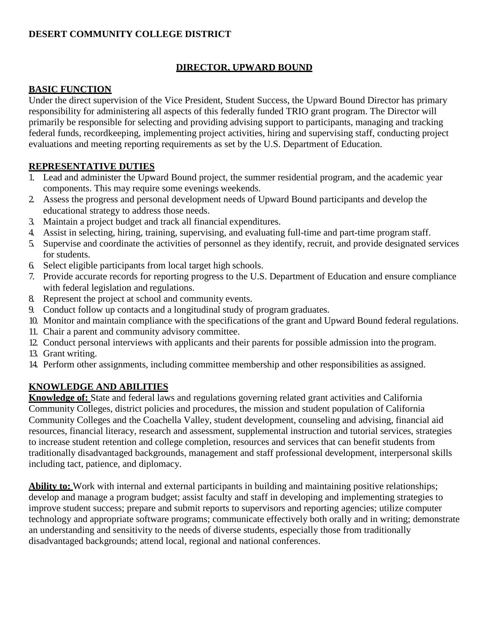# **DESERT COMMUNITY COLLEGE DISTRICT**

# **DIRECTOR, UPWARD BOUND**

# **BASIC FUNCTION**

Under the direct supervision of the Vice President, Student Success, the Upward Bound Director has primary responsibility for administering all aspects of this federally funded TRIO grant program. The Director will primarily be responsible for selecting and providing advising support to participants, managing and tracking federal funds, recordkeeping, implementing project activities, hiring and supervising staff, conducting project evaluations and meeting reporting requirements as set by the U.S. Department of Education.

# **REPRESENTATIVE DUTIES**

- 1. Lead and administer the Upward Bound project, the summer residential program, and the academic year components. This may require some evenings weekends.
- 2. Assess the progress and personal development needs of Upward Bound participants and develop the educational strategy to address those needs.
- 3. Maintain a project budget and track all financial expenditures.
- 4. Assist in selecting, hiring, training, supervising, and evaluating full-time and part-time program staff.
- 5. Supervise and coordinate the activities of personnel as they identify, recruit, and provide designated services for students.
- 6. Select eligible participants from local target high schools.
- 7. Provide accurate records for reporting progress to the U.S. Department of Education and ensure compliance with federal legislation and regulations.
- 8. Represent the project at school and community events.
- 9. Conduct follow up contacts and a longitudinal study of program graduates.
- 10. Monitor and maintain compliance with the specifications of the grant and Upward Bound federal regulations.
- 11. Chair a parent and community advisory committee.
- 12. Conduct personal interviews with applicants and their parents for possible admission into the program.
- 13. Grant writing.
- 14. Perform other assignments, including committee membership and other responsibilities as assigned.

# **KNOWLEDGE AND ABILITIES**

**Knowledge of:** State and federal laws and regulations governing related grant activities and California Community Colleges, district policies and procedures, the mission and student population of California Community Colleges and the Coachella Valley, student development, counseling and advising, financial aid resources, financial literacy, research and assessment, supplemental instruction and tutorial services, strategies to increase student retention and college completion, resources and services that can benefit students from traditionally disadvantaged backgrounds, management and staff professional development, interpersonal skills including tact, patience, and diplomacy.

**Ability to:** Work with internal and external participants in building and maintaining positive relationships; develop and manage a program budget; assist faculty and staff in developing and implementing strategies to improve student success; prepare and submit reports to supervisors and reporting agencies; utilize computer technology and appropriate software programs; communicate effectively both orally and in writing; demonstrate an understanding and sensitivity to the needs of diverse students, especially those from traditionally disadvantaged backgrounds; attend local, regional and national conferences.